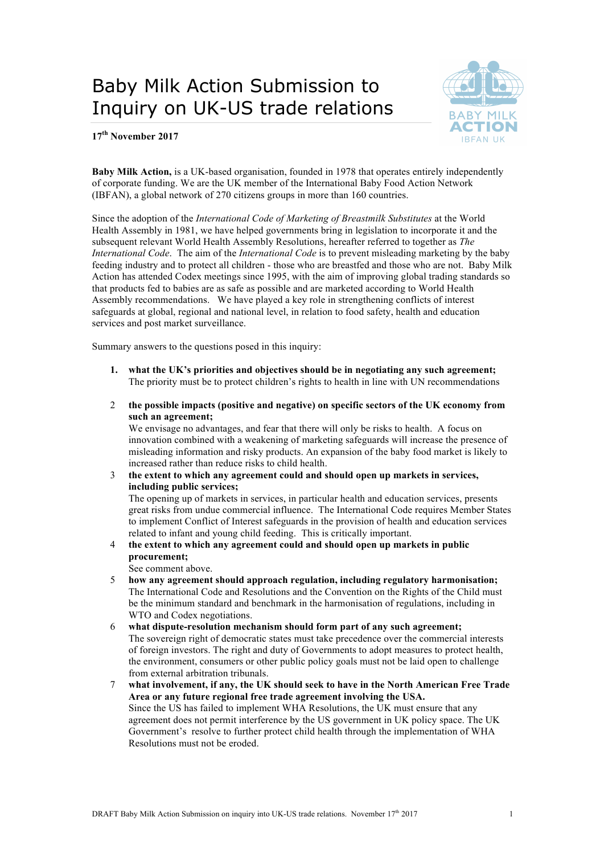# Baby Milk Action Submission to Inquiry on UK-US trade relations



**17th November 2017**

**Baby Milk Action,** is a UK-based organisation, founded in 1978 that operates entirely independently of corporate funding. We are the UK member of the International Baby Food Action Network (IBFAN), a global network of 270 citizens groups in more than 160 countries.

Since the adoption of the *International Code of Marketing of Breastmilk Substitutes* at the World Health Assembly in 1981, we have helped governments bring in legislation to incorporate it and the subsequent relevant World Health Assembly Resolutions, hereafter referred to together as *The International Code*. The aim of the *International Code* is to prevent misleading marketing by the baby feeding industry and to protect all children - those who are breastfed and those who are not. Baby Milk Action has attended Codex meetings since 1995, with the aim of improving global trading standards so that products fed to babies are as safe as possible and are marketed according to World Health Assembly recommendations. We have played a key role in strengthening conflicts of interest safeguards at global, regional and national level, in relation to food safety, health and education services and post market surveillance.

Summary answers to the questions posed in this inquiry:

- **1. what the UK's priorities and objectives should be in negotiating any such agreement;** The priority must be to protect children's rights to health in line with UN recommendations
- 2 **the possible impacts (positive and negative) on specific sectors of the UK economy from such an agreement;**

We envisage no advantages, and fear that there will only be risks to health. A focus on innovation combined with a weakening of marketing safeguards will increase the presence of misleading information and risky products. An expansion of the baby food market is likely to increased rather than reduce risks to child health.

3 **the extent to which any agreement could and should open up markets in services, including public services;**

The opening up of markets in services, in particular health and education services, presents great risks from undue commercial influence. The International Code requires Member States to implement Conflict of Interest safeguards in the provision of health and education services related to infant and young child feeding. This is critically important.

4 **the extent to which any agreement could and should open up markets in public procurement;**

See comment above.

- 5 **how any agreement should approach regulation, including regulatory harmonisation;** The International Code and Resolutions and the Convention on the Rights of the Child must be the minimum standard and benchmark in the harmonisation of regulations, including in WTO and Codex negotiations.
- 6 **what dispute-resolution mechanism should form part of any such agreement;**  The sovereign right of democratic states must take precedence over the commercial interests of foreign investors. The right and duty of Governments to adopt measures to protect health, the environment, consumers or other public policy goals must not be laid open to challenge from external arbitration tribunals.
- 7 **what involvement, if any, the UK should seek to have in the North American Free Trade Area or any future regional free trade agreement involving the USA.** Since the US has failed to implement WHA Resolutions, the UK must ensure that any agreement does not permit interference by the US government in UK policy space. The UK Government's resolve to further protect child health through the implementation of WHA Resolutions must not be eroded.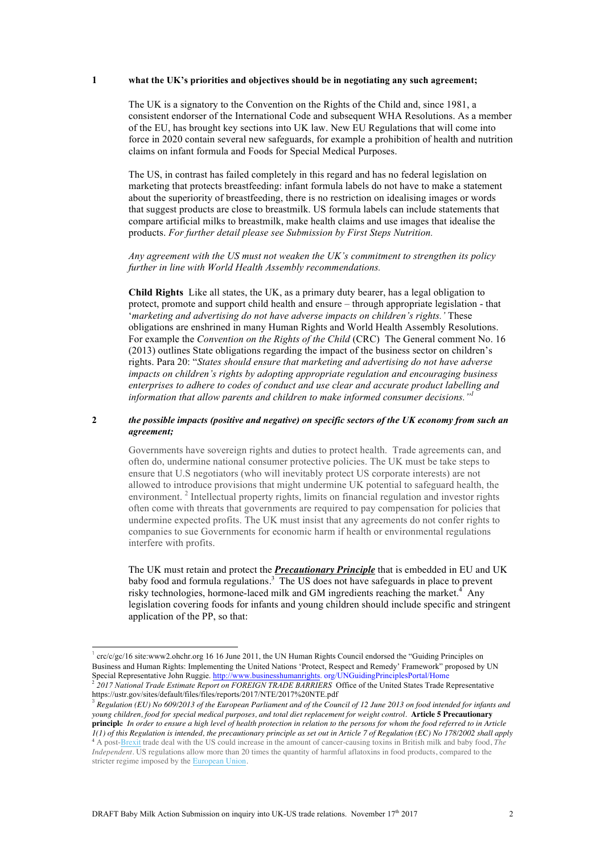#### **1 what the UK's priorities and objectives should be in negotiating any such agreement;**

The UK is a signatory to the Convention on the Rights of the Child and, since 1981, a consistent endorser of the International Code and subsequent WHA Resolutions. As a member of the EU, has brought key sections into UK law. New EU Regulations that will come into force in 2020 contain several new safeguards, for example a prohibition of health and nutrition claims on infant formula and Foods for Special Medical Purposes.

The US, in contrast has failed completely in this regard and has no federal legislation on marketing that protects breastfeeding: infant formula labels do not have to make a statement about the superiority of breastfeeding, there is no restriction on idealising images or words that suggest products are close to breastmilk. US formula labels can include statements that compare artificial milks to breastmilk, make health claims and use images that idealise the products. *For further detail please see Submission by First Steps Nutrition.* 

*Any agreement with the US must not weaken the UK's commitment to strengthen its policy further in line with World Health Assembly recommendations.* 

**Child Rights** Like all states, the UK, as a primary duty bearer, has a legal obligation to protect, promote and support child health and ensure – through appropriate legislation - that '*marketing and advertising do not have adverse impacts on children's rights.'* These obligations are enshrined in many Human Rights and World Health Assembly Resolutions. For example the *Convention on the Rights of the Child* (CRC) The General comment No. 16 (2013) outlines State obligations regarding the impact of the business sector on children's rights. Para 20: "*States should ensure that marketing and advertising do not have adverse impacts on children's rights by adopting appropriate regulation and encouraging business enterprises to adhere to codes of conduct and use clear and accurate product labelling and information that allow parents and children to make informed consumer decisions."1*

#### **2** *the possible impacts (positive and negative) on specific sectors of the UK economy from such an agreement;*

Governments have sovereign rights and duties to protect health. Trade agreements can, and often do, undermine national consumer protective policies. The UK must be take steps to ensure that U.S negotiators (who will inevitably protect US corporate interests) are not allowed to introduce provisions that might undermine UK potential to safeguard health, the environment.<sup>2</sup> Intellectual property rights, limits on financial regulation and investor rights often come with threats that governments are required to pay compensation for policies that undermine expected profits. The UK must insist that any agreements do not confer rights to companies to sue Governments for economic harm if health or environmental regulations interfere with profits.

The UK must retain and protect the *Precautionary Principle* that is embedded in EU and UK baby food and formula regulations.<sup>3</sup> The US does not have safeguards in place to prevent risky technologies, hormone-laced milk and GM ingredients reaching the market.<sup>4</sup> Any legislation covering foods for infants and young children should include specific and stringent application of the PP, so that:

crc/c/gc/16 site:www2.ohchr.org 16 16 June 2011, the UN Human Rights Council endorsed the "Guiding Principles on Business and Human Rights: Implementing the United Nations 'Protect, Respect and Remedy' Framework" proposed by UN Special Representative John Ruggie. http://www.businesshumanrights. org/UNGuidingPrinciplesPortal/Home <sup>2</sup> *2017 National Trade Estimate Report on FOREIGN TRADE BARRIERS* Office of the United States Trade Representative https://ustr.gov/sites/default/files/files/reports/2017/NTE/2017%20NTE.pdf

<sup>3</sup> *Regulation (EU) No 609/2013 of the European Parliament and of the Council of 12 June 2013 on food intended for infants and young children, food for special medical purposes, and total diet replacement for weight control.* **Article 5 Precautionary principl**e *In order to ensure a high level of health protection in relation to the persons for whom the food referred to in Article 1(1) of this Regulation is intended, the precautionary principle as set out in Article 7 of Regulation (EC) No 178/2002 shall apply* <sup>4</sup> A post-Brexit trade deal with the US could increase in the amount of cancer-causing toxins in British milk and baby food, *The*

*Independent*. US regulations allow more than 20 times the quantity of harmful aflatoxins in food products, compared to the stricter regime imposed by the European Union.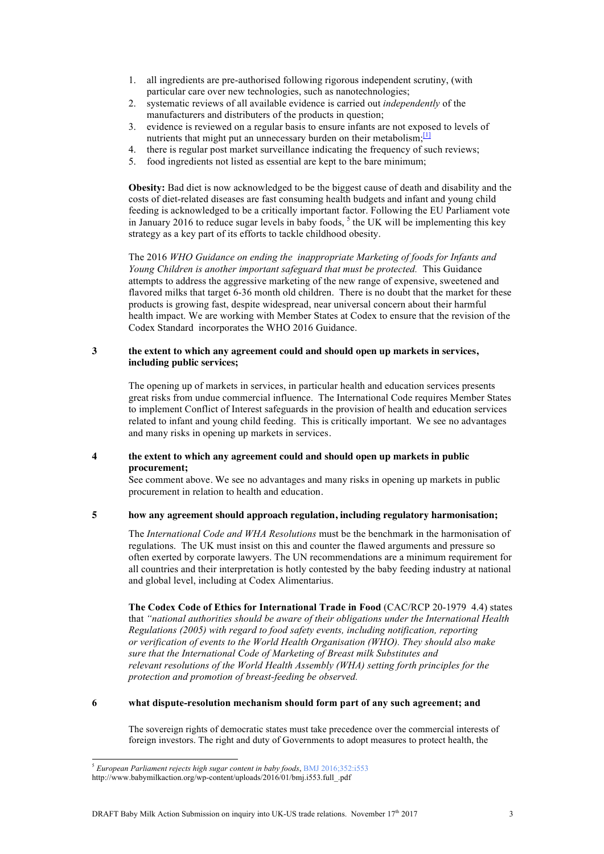- 1. all ingredients are pre-authorised following rigorous independent scrutiny, (with particular care over new technologies, such as nanotechnologies;
- 2. systematic reviews of all available evidence is carried out *independently* of the manufacturers and distributers of the products in question;
- 3. evidence is reviewed on a regular basis to ensure infants are not exposed to levels of nutrients that might put an unnecessary burden on their metabolism;<sup>[1]</sup>
- 4. there is regular post market surveillance indicating the frequency of such reviews;
- 5. food ingredients not listed as essential are kept to the bare minimum;

**Obesity:** Bad diet is now acknowledged to be the biggest cause of death and disability and the costs of diet-related diseases are fast consuming health budgets and infant and young child feeding is acknowledged to be a critically important factor. Following the EU Parliament vote in January 2016 to reduce sugar levels in baby foods,  $<sup>5</sup>$  the UK will be implementing this key</sup> strategy as a key part of its efforts to tackle childhood obesity.

The 2016 *WHO Guidance on ending the inappropriate Marketing of foods for Infants and Young Children is another important safeguard that must be protected.* This Guidance attempts to address the aggressive marketing of the new range of expensive, sweetened and flavored milks that target 6-36 month old children. There is no doubt that the market for these products is growing fast, despite widespread, near universal concern about their harmful health impact. We are working with Member States at Codex to ensure that the revision of the Codex Standard incorporates the WHO 2016 Guidance.

### **3 the extent to which any agreement could and should open up markets in services, including public services;**

The opening up of markets in services, in particular health and education services presents great risks from undue commercial influence. The International Code requires Member States to implement Conflict of Interest safeguards in the provision of health and education services related to infant and young child feeding. This is critically important. We see no advantages and many risks in opening up markets in services.

#### **4 the extent to which any agreement could and should open up markets in public procurement;**

See comment above. We see no advantages and many risks in opening up markets in public procurement in relation to health and education.

### **5 how any agreement should approach regulation, including regulatory harmonisation;**

The *International Code and WHA Resolutions* must be the benchmark in the harmonisation of regulations. The UK must insist on this and counter the flawed arguments and pressure so often exerted by corporate lawyers. The UN recommendations are a minimum requirement for all countries and their interpretation is hotly contested by the baby feeding industry at national and global level, including at Codex Alimentarius.

**The Codex Code of Ethics for International Trade in Food** (CAC/RCP 20-1979 4.4) states that *"national authorities should be aware of their obligations under the International Health Regulations (2005) with regard to food safety events, including notification, reporting or verification of events to the World Health Organisation (WHO). They should also make sure that the International Code of Marketing of Breast milk Substitutes and relevant resolutions of the World Health Assembly (WHA) setting forth principles for the protection and promotion of breast-feeding be observed.*

## **6 what dispute-resolution mechanism should form part of any such agreement; and**

The sovereign rights of democratic states must take precedence over the commercial interests of foreign investors. The right and duty of Governments to adopt measures to protect health, the

.

<sup>5</sup> *European Parliament rejects high sugar content in baby foods*, BMJ 2016;352:i553

http://www.babymilkaction.org/wp-content/uploads/2016/01/bmj.i553.full\_.pdf